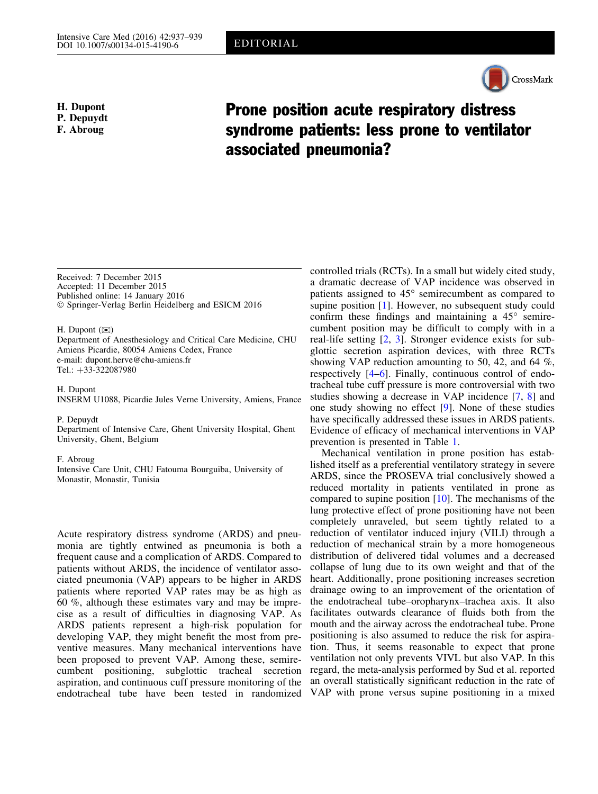

H. Dupont P. Depuydt F. Abroug

## Prone position acute respiratory distress syndrome patients: less prone to ventilator associated pneumonia?

Received: 7 December 2015 Accepted: 11 December 2015 Published online: 14 January 2016 - Springer-Verlag Berlin Heidelberg and ESICM 2016

H. Dupont  $(\boxtimes)$ 

Department of Anesthesiology and Critical Care Medicine, CHU Amiens Picardie, 80054 Amiens Cedex, France e-mail: dupont.herve@chu-amiens.fr Tel.:  $+33-322087980$ 

H. Dupont

INSERM U1088, Picardie Jules Verne University, Amiens, France

## P. Depuydt

Department of Intensive Care, Ghent University Hospital, Ghent University, Ghent, Belgium

## F. Abroug

Intensive Care Unit, CHU Fatouma Bourguiba, University of Monastir, Monastir, Tunisia

Acute respiratory distress syndrome (ARDS) and pneumonia are tightly entwined as pneumonia is both a frequent cause and a complication of ARDS. Compared to patients without ARDS, the incidence of ventilator associated pneumonia (VAP) appears to be higher in ARDS patients where reported VAP rates may be as high as 60 %, although these estimates vary and may be imprecise as a result of difficulties in diagnosing VAP. As ARDS patients represent a high-risk population for developing VAP, they might benefit the most from preventive measures. Many mechanical interventions have been proposed to prevent VAP. Among these, semirecumbent positioning, subglottic tracheal secretion aspiration, and continuous cuff pressure monitoring of the endotracheal tube have been tested in randomized

controlled trials (RCTs). In a small but widely cited study, a dramatic decrease of VAP incidence was observed in patients assigned to  $45^{\circ}$  semirecumbent as compared to supine position [\[1\]](#page-2-0). However, no subsequent study could confirm these findings and maintaining a  $45^\circ$  semirecumbent position may be difficult to comply with in a real-life setting [[2](#page-2-0), [3](#page-2-0)]. Stronger evidence exists for subglottic secretion aspiration devices, with three RCTs showing VAP reduction amounting to 50, 42, and 64 %, respectively [[4–6](#page-2-0)]. Finally, continuous control of endotracheal tube cuff pressure is more controversial with two studies showing a decrease in VAP incidence [\[7,](#page-2-0) [8](#page-2-0)] and one study showing no effect [[9](#page-2-0)]. None of these studies have specifically addressed these issues in ARDS patients. Evidence of efficacy of mechanical interventions in VAP prevention is presented in Table [1.](#page-1-0)

Mechanical ventilation in prone position has established itself as a preferential ventilatory strategy in severe ARDS, since the PROSEVA trial conclusively showed a reduced mortality in patients ventilated in prone as compared to supine position [[10](#page-2-0)]. The mechanisms of the lung protective effect of prone positioning have not been completely unraveled, but seem tightly related to a reduction of ventilator induced injury (VILI) through a reduction of mechanical strain by a more homogeneous distribution of delivered tidal volumes and a decreased collapse of lung due to its own weight and that of the heart. Additionally, prone positioning increases secretion drainage owing to an improvement of the orientation of the endotracheal tube–oropharynx–trachea axis. It also facilitates outwards clearance of fluids both from the mouth and the airway across the endotracheal tube. Prone positioning is also assumed to reduce the risk for aspiration. Thus, it seems reasonable to expect that prone ventilation not only prevents VIVL but also VAP. In this regard, the meta-analysis performed by Sud et al. reported an overall statistically significant reduction in the rate of VAP with prone versus supine positioning in a mixed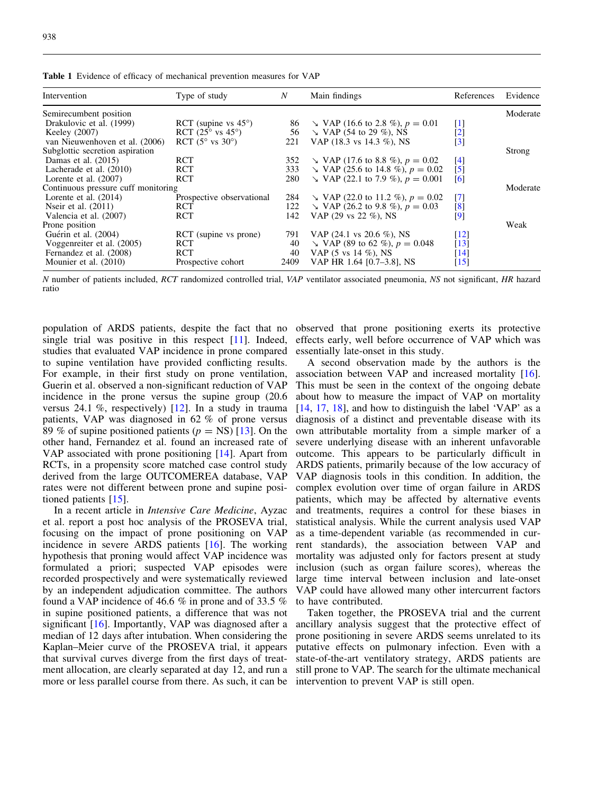| Intervention                        | Type of study                      | $\boldsymbol{N}$ | Main findings                               | References         | Evidence |
|-------------------------------------|------------------------------------|------------------|---------------------------------------------|--------------------|----------|
| Semirecumbent position              |                                    |                  |                                             |                    | Moderate |
| Drakulovic et al. (1999)            | RCT (supine vs $45^{\circ}$ )      | 86               | $\Delta$ VAP (16.6 to 2.8 %), $p = 0.01$    | [1]                |          |
| Keeley (2007)                       | RCT $(25^{\circ}$ vs $45^{\circ})$ | 56               | $\searrow$ VAP (54 to 29 %), NS             | $\lceil 2 \rceil$  |          |
| van Nieuwenhoven et al. (2006)      | RCT $(5^{\circ}$ vs $30^{\circ})$  | 221              | VAP (18.3 vs 14.3 %), NS                    | $\left[3\right]$   |          |
| Subglottic secretion aspiration     |                                    |                  |                                             |                    | Strong   |
| Damas et al. $(2015)$               | <b>RCT</b>                         | 352              | $\Delta$ VAP (17.6 to 8.8 %), $p = 0.02$    | [4]                |          |
| Lacherade et al. (2010)             | <b>RCT</b>                         | 333              | $\searrow$ VAP (25.6 to 14.8 %), $p = 0.02$ | $\lceil 5 \rceil$  |          |
| Lorente et al. $(2007)$             | <b>RCT</b>                         | 280              | $\searrow$ VAP (22.1 to 7.9 %), $p = 0.001$ | [6]                |          |
| Continuous pressure cuff monitoring |                                    |                  |                                             |                    | Moderate |
| Lorente et al. $(2014)$             | Prospective observational          | 284              | $\searrow$ VAP (22.0 to 11.2 %), $p = 0.02$ | $\lceil 7 \rceil$  |          |
| Neir et al. $(2011)$                | <b>RCT</b>                         | 122              | $\searrow$ VAP (26.2 to 9.8 %), $p = 0.03$  | $^{[8]}$           |          |
| Valencia et al. (2007)              | <b>RCT</b>                         | 142              | VAP (29 vs 22 %), NS                        | $\lceil 9 \rceil$  |          |
| Prone position                      |                                    |                  |                                             |                    | Weak     |
| Guérin et al. (2004)                | RCT (supine vs prone)              | 791              | VAP $(24.1 \text{ vs } 20.6 \%)$ , NS       | $\lceil 12 \rceil$ |          |
| Voggenreiter et al. (2005)          | <b>RCT</b>                         | 40               | $\Delta$ VAP (89 to 62 %), $p = 0.048$      | $\lceil 13 \rceil$ |          |
| Fernandez et al. (2008)             | <b>RCT</b>                         | 40               | VAP $(5 \text{ vs } 14 \%)$ , NS            | $\lceil 14 \rceil$ |          |
| Mounier et al. (2010)               | Prospective cohort                 | 2409             | VAP HR 1.64 [0.7-3.8], NS                   | $[15]$             |          |

<span id="page-1-0"></span>Table 1 Evidence of efficacy of mechanical prevention measures for VAP

N number of patients included, RCT randomized controlled trial, VAP ventilator associated pneumonia, NS not significant, HR hazard ratio

population of ARDS patients, despite the fact that no single trial was positive in this respect [[11](#page-2-0)]. Indeed, studies that evaluated VAP incidence in prone compared to supine ventilation have provided conflicting results. For example, in their first study on prone ventilation, Guerin et al. observed a non-significant reduction of VAP incidence in the prone versus the supine group (20.6 versus 24.1 %, respectively) [[12](#page-2-0)]. In a study in trauma patients, VAP was diagnosed in 62 % of prone versus 89 % of supine positioned patients ( $p = NS$ ) [[13\]](#page-2-0). On the other hand, Fernandez et al. found an increased rate of VAP associated with prone positioning [\[14\]](#page-2-0). Apart from RCTs, in a propensity score matched case control study derived from the large OUTCOMEREA database, VAP rates were not different between prone and supine positioned patients [[15](#page-2-0)].

In a recent article in Intensive Care Medicine, Ayzac et al. report a post hoc analysis of the PROSEVA trial, focusing on the impact of prone positioning on VAP incidence in severe ARDS patients [\[16](#page-2-0)]. The working hypothesis that proning would affect VAP incidence was formulated a priori; suspected VAP episodes were recorded prospectively and were systematically reviewed by an independent adjudication committee. The authors found a VAP incidence of 46.6 % in prone and of 33.5 % in supine positioned patients, a difference that was not significant [\[16\]](#page-2-0). Importantly, VAP was diagnosed after a median of 12 days after intubation. When considering the Kaplan–Meier curve of the PROSEVA trial, it appears that survival curves diverge from the first days of treatment allocation, are clearly separated at day 12, and run a more or less parallel course from there. As such, it can be

observed that prone positioning exerts its protective effects early, well before occurrence of VAP which was essentially late-onset in this study.

A second observation made by the authors is the association between VAP and increased mortality [\[16](#page-2-0)]. This must be seen in the context of the ongoing debate about how to measure the impact of VAP on mortality  $[14, 17, 18]$  $[14, 17, 18]$  $[14, 17, 18]$  $[14, 17, 18]$  $[14, 17, 18]$  $[14, 17, 18]$ , and how to distinguish the label 'VAP' as a diagnosis of a distinct and preventable disease with its own attributable mortality from a simple marker of a severe underlying disease with an inherent unfavorable outcome. This appears to be particularly difficult in ARDS patients, primarily because of the low accuracy of VAP diagnosis tools in this condition. In addition, the complex evolution over time of organ failure in ARDS patients, which may be affected by alternative events and treatments, requires a control for these biases in statistical analysis. While the current analysis used VAP as a time-dependent variable (as recommended in current standards), the association between VAP and mortality was adjusted only for factors present at study inclusion (such as organ failure scores), whereas the large time interval between inclusion and late-onset VAP could have allowed many other intercurrent factors to have contributed.

Taken together, the PROSEVA trial and the current ancillary analysis suggest that the protective effect of prone positioning in severe ARDS seems unrelated to its putative effects on pulmonary infection. Even with a state-of-the-art ventilatory strategy, ARDS patients are still prone to VAP. The search for the ultimate mechanical intervention to prevent VAP is still open.